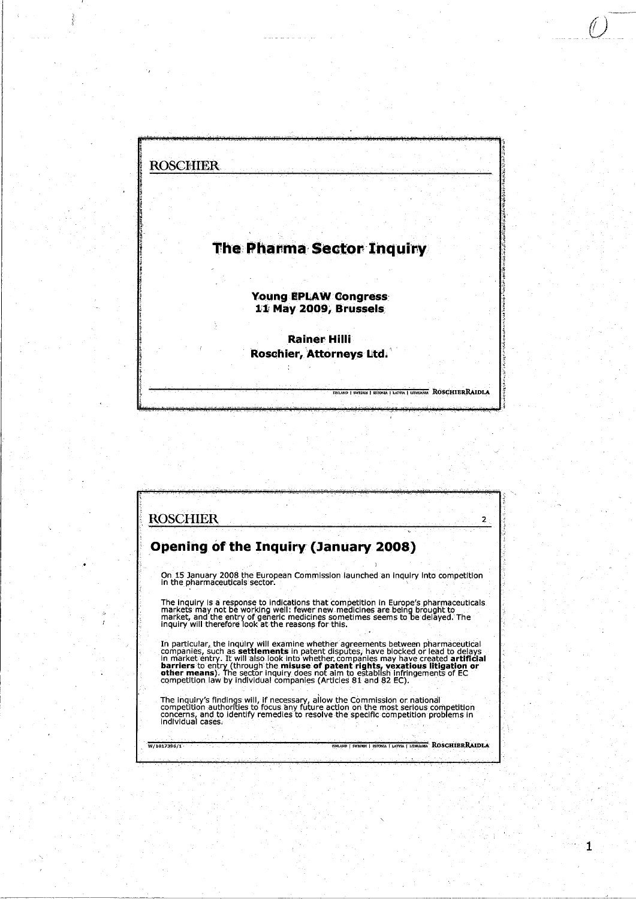# **The Pharma Sector Inquiry**

**Young EPLAW Congress** 11 May 2009, Brussels

**Rainer Hilli** Roschier, Attorneys Ltd.

LAND | SWEDEN | ESTONIA | LATVIA | LITHUANIA ROSCHIERRAIDLA

 $\mathbf{1}$ 

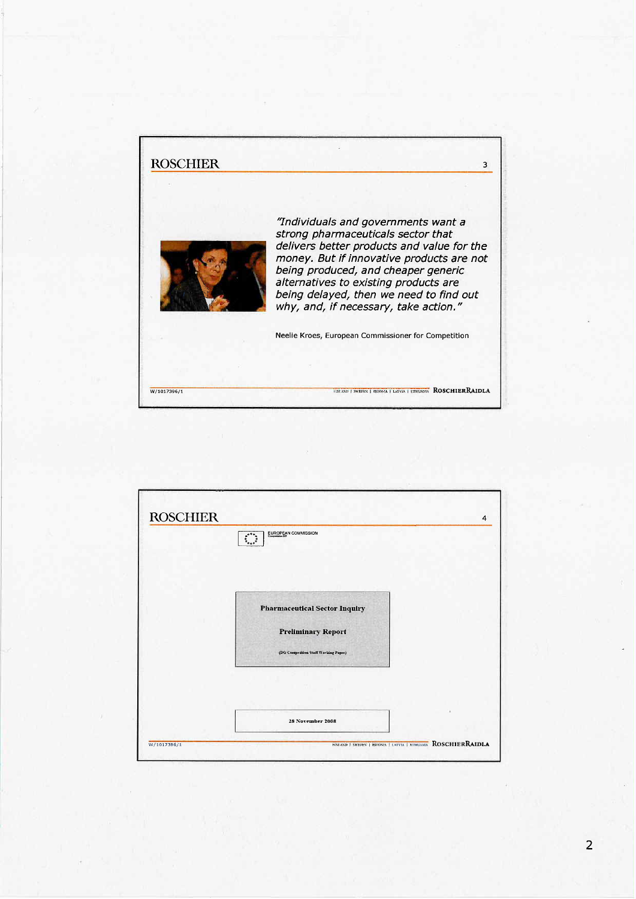

| <b>ROSCHIER</b> | EUROPEAN COMMISSION<br>$\begin{picture}(20,20)(-2.5,2.5) \put(0,0){\vector(1,0){10}} \put(15,0){\vector(1,0){10}} \put(15,0){\vector(1,0){10}} \put(15,0){\vector(1,0){10}} \put(15,0){\vector(1,0){10}} \put(15,0){\vector(1,0){10}} \put(15,0){\vector(1,0){10}} \put(15,0){\vector(1,0){10}} \put(15,0){\vector(1,0){10}} \put(15,0){\vector(1,0){10}} \put(15,0){\vector(1,0){10}} \put($ | 4 |
|-----------------|-----------------------------------------------------------------------------------------------------------------------------------------------------------------------------------------------------------------------------------------------------------------------------------------------------------------------------------------------------------------------------------------------|---|
|                 |                                                                                                                                                                                                                                                                                                                                                                                               |   |
|                 |                                                                                                                                                                                                                                                                                                                                                                                               |   |
|                 | <b>Pharmaceutical Sector Inquiry</b>                                                                                                                                                                                                                                                                                                                                                          |   |
|                 | <b>Preliminary Report</b>                                                                                                                                                                                                                                                                                                                                                                     |   |
|                 | (DG Competition Staff Working Paper)                                                                                                                                                                                                                                                                                                                                                          |   |
|                 |                                                                                                                                                                                                                                                                                                                                                                                               |   |
|                 |                                                                                                                                                                                                                                                                                                                                                                                               |   |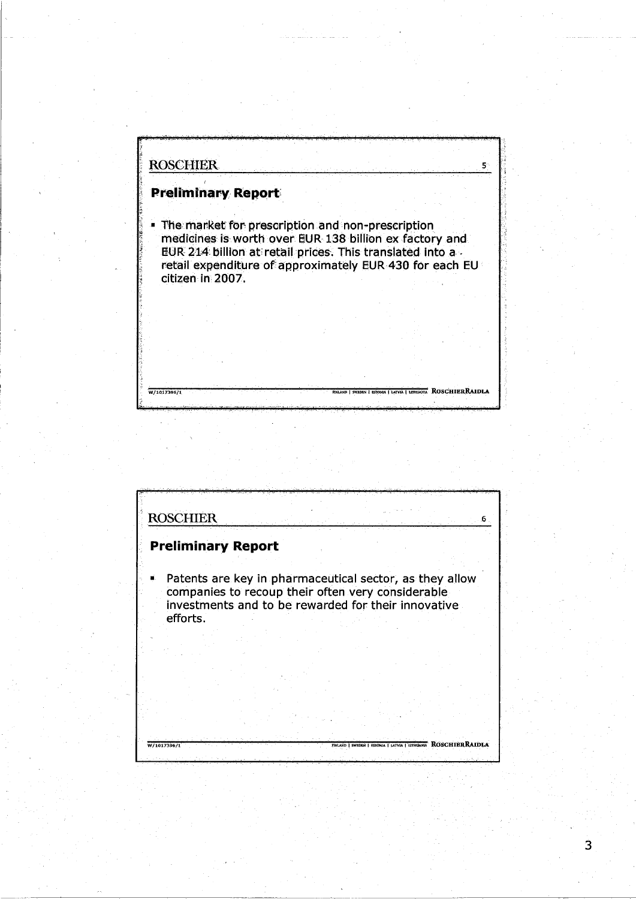**ROSCHIER**  $\mathbf{5}^\circ$ **Preliminary Report** The market for prescription and non-prescription medicines is worth over EUR 138 billion ex factory and EUR 214 billion at retail prices. This translated into a retail expenditure of approximately EUR 430 for each EU citizen in 2007. **TEXTVA | LOTRANGE ROSCHIERRAIDLA** W/1017396/1



 $\overline{3}$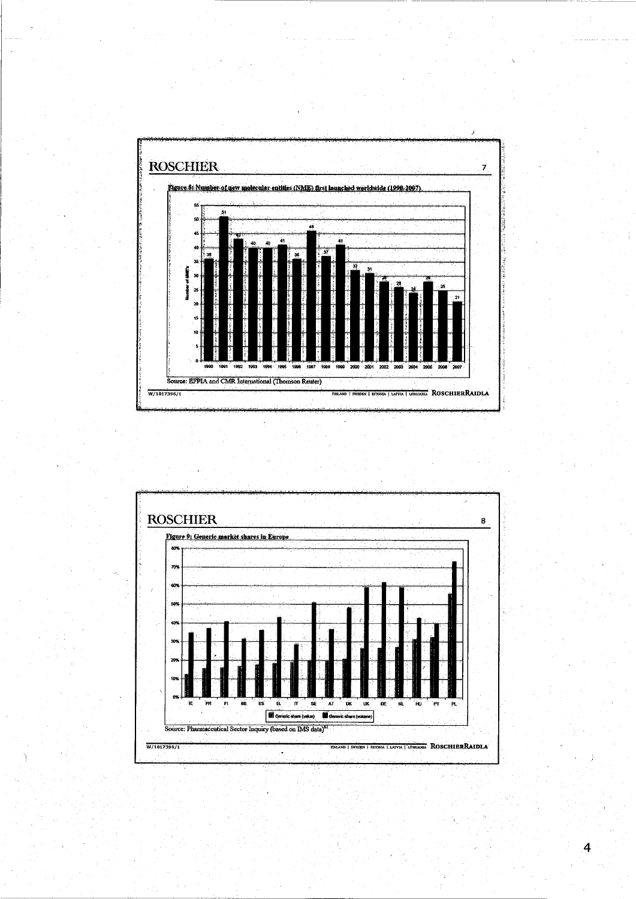



 $\overline{4}$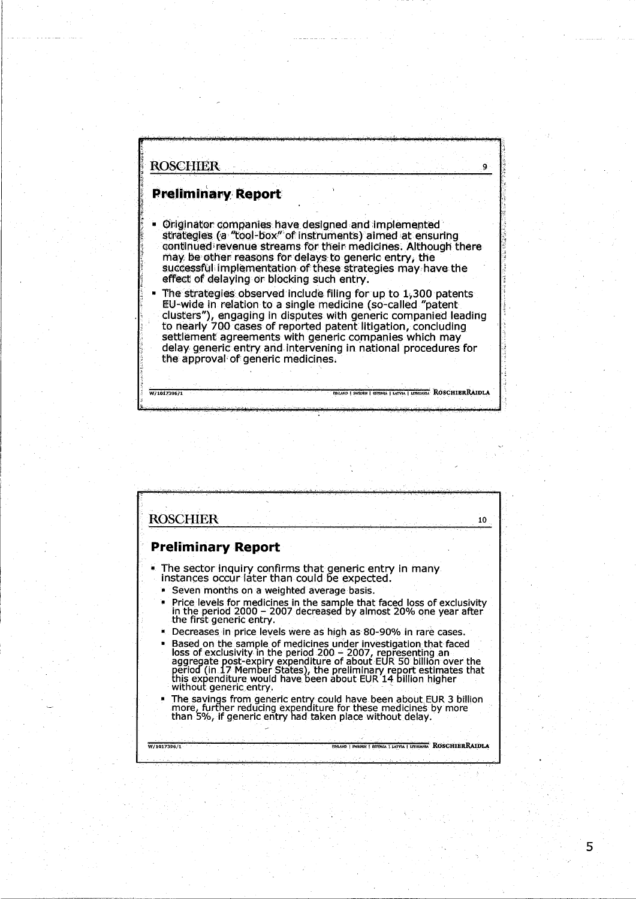W/1017396/1

#### **Preliminary Report**

Originator companies have designed and implemented strategies (a "tool-box" of instruments) aimed at ensuring continued revenue streams for their medicines. Although there may be other reasons for delays to generic entry, the successful implementation of these strategies may have the effect of delaving or blocking such entry.

Ö.

**TERRAIDLA** 

The strategies observed include filing for up to 1,300 patents EU-wide in relation to a single medicine (so-called "patent" clusters"), engaging in disputes with generic companied leading to nearly 700 cases of reported patent litigation, concluding settlement agreements with generic companies which may delay generic entry and intervening in national procedures for the approval of generic medicines.

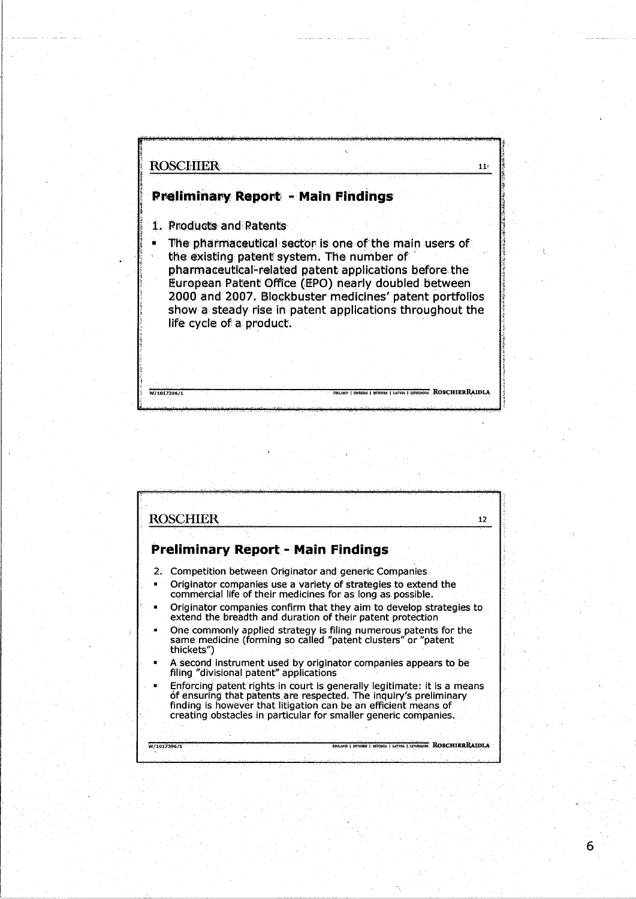W/1017396/1

### **Preliminary Report - Main Findings**

- 1. Products and Patents
- The pharmaceutical sector is one of the main users of
- the existing patent system. The number of pharmaceutical-related patent applications before the European Patent Office (EPO) nearly doubled between 2000 and 2007. Blockbuster medicines' patent portfolios show a steady rise in patent applications throughout the life cycle of a product.

 $11<sup>3</sup>$ 

**RA | LATVIA | LITHUARIA<sup>"</sup>, ROSCHIERRAIDLA** 

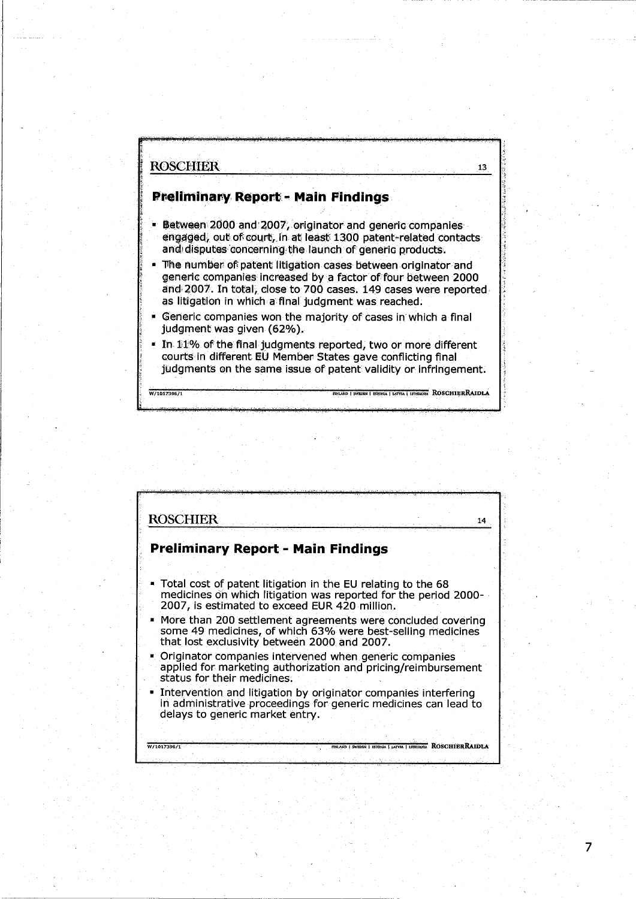W/1017396/

## **Preliminary Report - Main Findings**

**Between 2000 and 2007, originator and generic companies** engaged, out of court, in at least 1300 patent-related contacts and disputes concerning the launch of generic products.

13

ROSCHIERRAIDLA

7

The number of patent litigation cases between originator and generic companies increased by a factor of four between 2000 and 2007. In total, close to 700 cases. 149 cases were reported as litigation in which a final judgment was reached.

Generic companies won the majority of cases in which a final judgment was given (62%).

#### . In 11% of the final judgments reported, two or more different courts in different EU Member States gave conflicting final judgments on the same issue of patent validity or infringement.

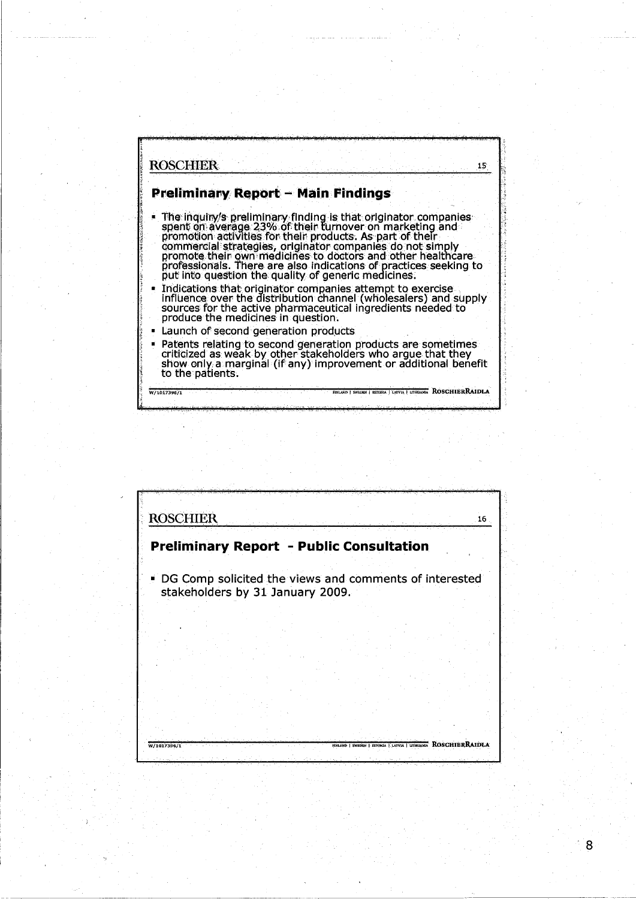



 $\overline{8}$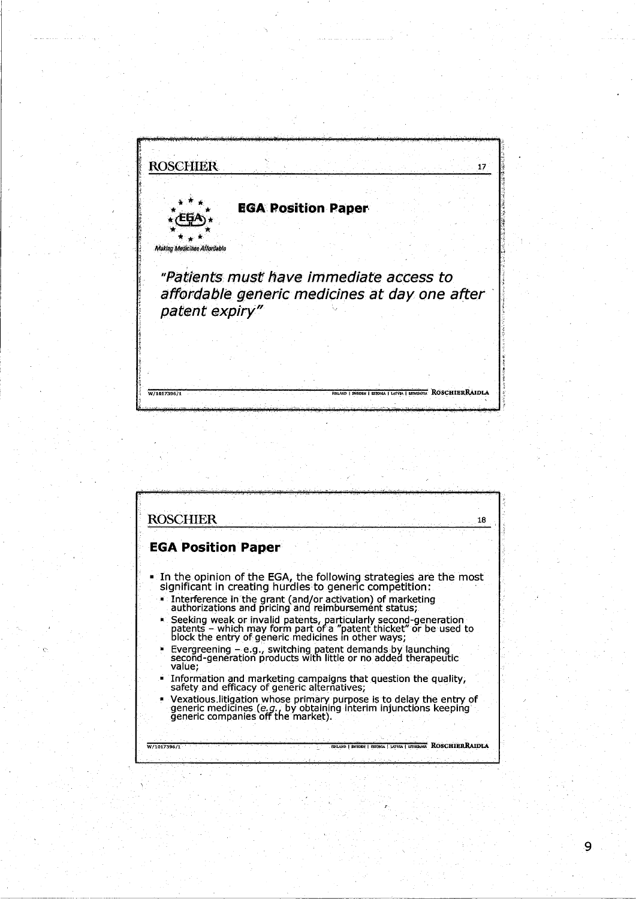| <b>ROSCHIER</b>                                                 |  |                           |  | 17 |
|-----------------------------------------------------------------|--|---------------------------|--|----|
|                                                                 |  |                           |  |    |
|                                                                 |  | <b>EGA Position Paper</b> |  |    |
| <b>Making Medicines Affordable</b>                              |  |                           |  |    |
| "Patients must have immediate access to                         |  |                           |  |    |
| affordable generic medicines at day one after<br>patent expiry" |  |                           |  |    |
|                                                                 |  |                           |  |    |
|                                                                 |  |                           |  |    |
|                                                                 |  |                           |  |    |

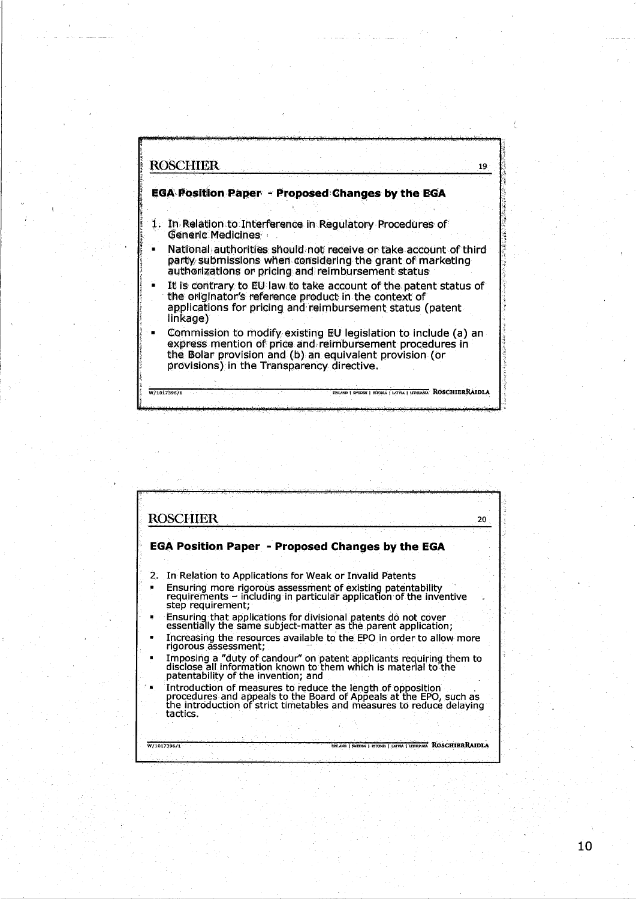

and a market of

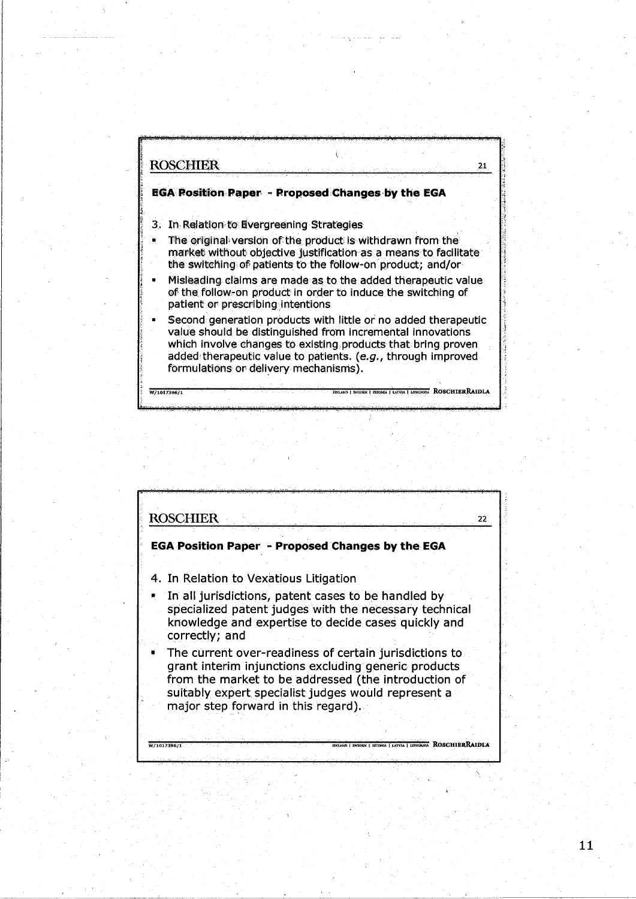

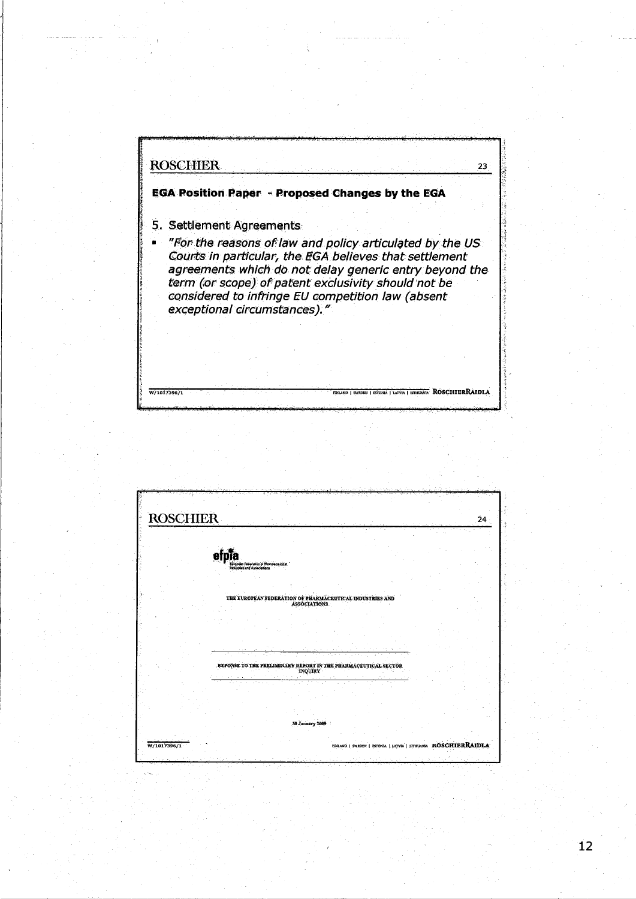**ROSCHIER**  $23<sup>2</sup>$ **EGA Position Paper - Proposed Changes by the EGA** 5. Settlement Agreements "For the reasons of law and policy articulated by the US<br>Courts in particular, the EGA believes that settlement Ŵ. agreements which do not delay generic entry beyond the<br>term (or scope) of patent exclusivity should not be<br>considered to infringe EU competition law (absent exceptional circumstances)." **THUARM ROSCHIERRAIDLA** W/1017396/1

| <b>ROSCHIER</b> |                                                                      |                     |                                                                |  | 24 |
|-----------------|----------------------------------------------------------------------|---------------------|----------------------------------------------------------------|--|----|
|                 |                                                                      |                     |                                                                |  |    |
|                 |                                                                      |                     |                                                                |  |    |
|                 | Edigione Federation of Eliminacevical<br>Industrial and Associations |                     |                                                                |  |    |
|                 |                                                                      |                     |                                                                |  |    |
|                 |                                                                      |                     |                                                                |  |    |
|                 | THE EUROPEAN FEDERATION OF PHARMACEUTICAL INDUSTRIES AND             | <b>ASSOCIATIONS</b> |                                                                |  |    |
|                 |                                                                      |                     |                                                                |  |    |
|                 |                                                                      |                     |                                                                |  |    |
|                 | REPONSE TO THE PRELIMINARY REPORT IN THE PHARMACEUTICAL SECTOR       | <b>INQUIRY</b>      |                                                                |  |    |
|                 |                                                                      |                     |                                                                |  |    |
|                 |                                                                      |                     |                                                                |  |    |
|                 |                                                                      |                     |                                                                |  |    |
|                 |                                                                      | 30 January 2009     |                                                                |  |    |
| W/1017396/1     |                                                                      |                     | EDITAND   SWEDEN   ISTONIA   LATVIA   LITHUARIA KOSCHIERRAIDLA |  |    |
|                 |                                                                      |                     |                                                                |  |    |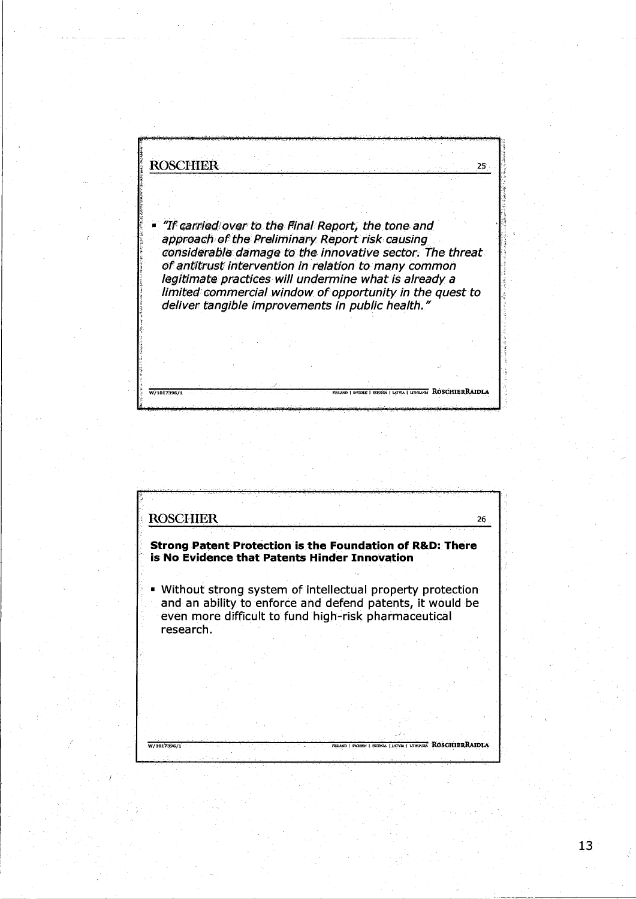**ROSCHIER**  $25^{\circ}$ "If carried over to the Final Report, the tone and approach of the Preliminary Report risk causing considerable damage to the innovative sector. The threat of antitrust intervention in relation to many common legitimate practices will undermine what is already a limited commercial window of opportunity in the quest to deliver tangible improvements in public health." NIA | LATVIA | LITHUARA ROSCHIERRAIDLA W/1017396/1

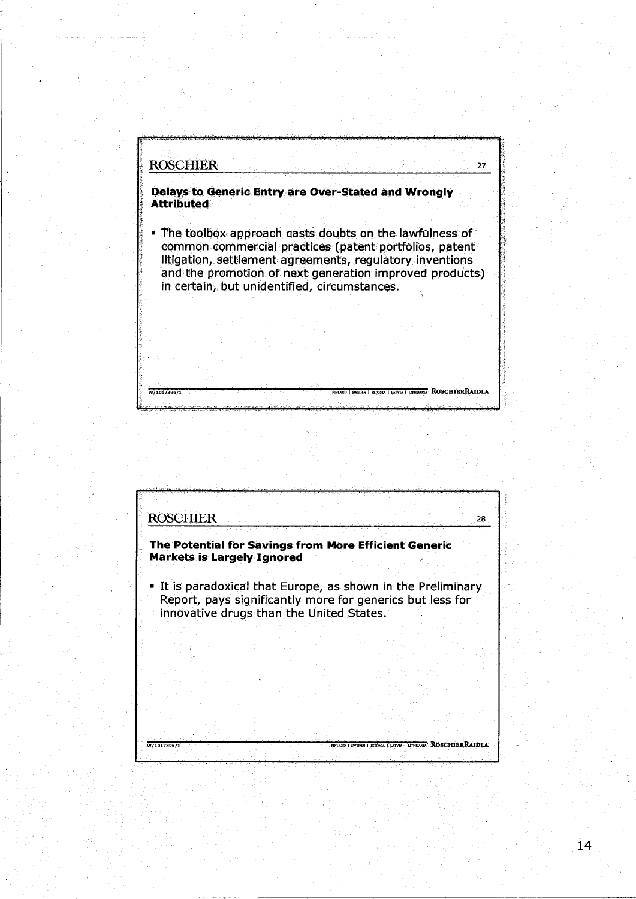**ROSCHIER**  $27<sup>1</sup>$ Delays to Generic Entry are Over-Stated and Wrongly **Attributed** . The toolbox approach casts doubts on the lawfulness of common commercial practices (patent portfolios, patent litigation, settlement agreements, regulatory inventions and the promotion of next generation improved products) in certain, but unidentified, circumstances. DEN | ESTONIA | LATVIA | LITHUANIA ROSCHIBRRAIDLA  $W/1017396/1$ 



 $\overline{14}$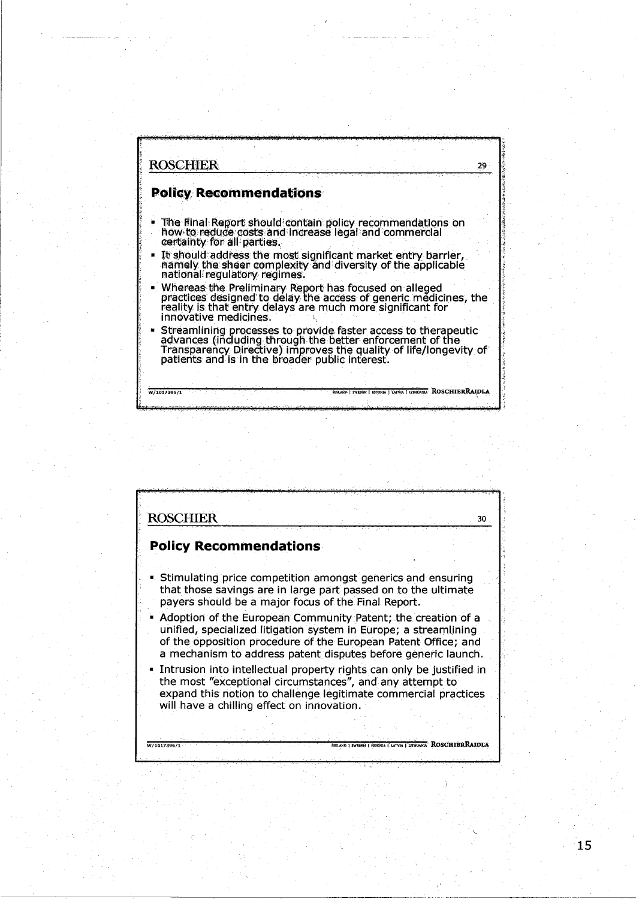

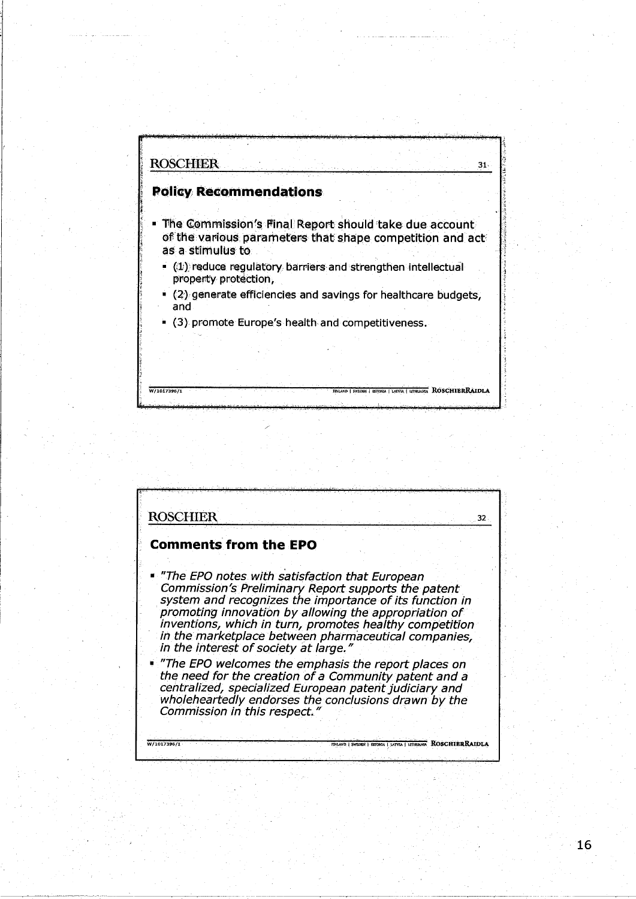